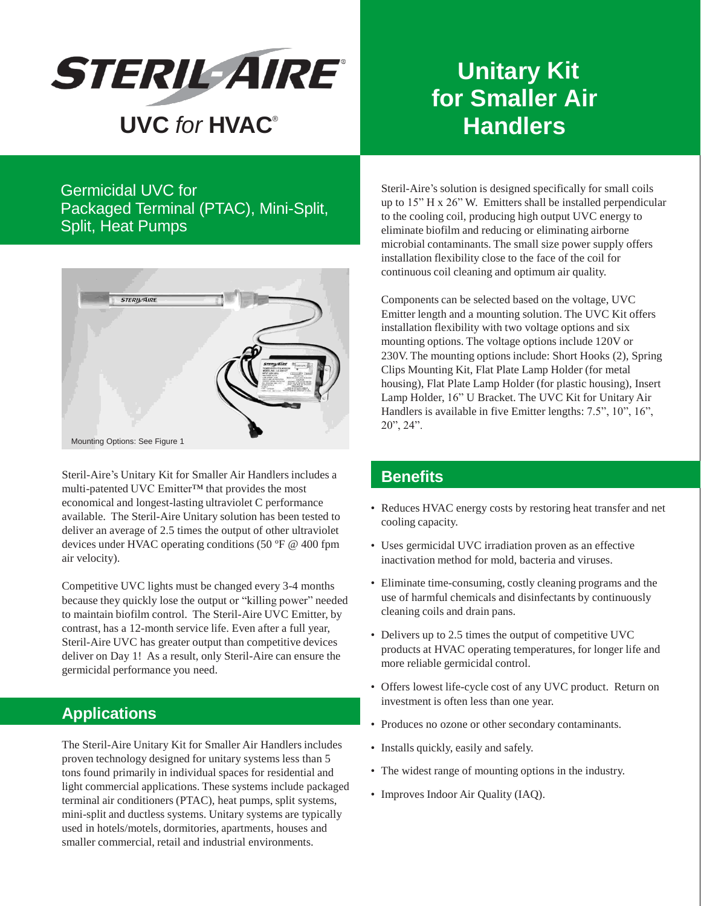

Germicidal UVC for Packaged Terminal (PTAC), Mini-Split, Split, Heat Pumps



Steril-Aire's Unitary Kit for Smaller Air Handlers includes a multi-patented UVC Emitter™ that provides the most economical and longest-lasting ultraviolet C performance available. The Steril-Aire Unitary solution has been tested to deliver an average of 2.5 times the output of other ultraviolet devices under HVAC operating conditions (50 ºF @ 400 fpm air velocity).

Competitive UVC lights must be changed every 3-4 months because they quickly lose the output or "killing power" needed to maintain biofilm control. The Steril-Aire UVC Emitter, by contrast, has a 12-month service life. Even after a full year, Steril-Aire UVC has greater output than competitive devices deliver on Day 1! As a result, only Steril-Aire can ensure the germicidal performance you need.

## **Applications**

The Steril-Aire Unitary Kit for Smaller Air Handlersincludes proven technology designed for unitary systems less than 5 tons found primarily in individual spaces for residential and light commercial applications. These systems include packaged terminal air conditioners (PTAC), heat pumps, split systems, mini-split and ductless systems. Unitary systems are typically used in hotels/motels, dormitories, apartments, houses and smaller commercial, retail and industrial environments.

## **Unitary Kit for Smaller Air Handlers**

Steril-Aire's solution is designed specifically for small coils up to 15" H x 26" W. Emitters shall be installed perpendicular to the cooling coil, producing high output UVC energy to eliminate biofilm and reducing or eliminating airborne microbial contaminants. The small size power supply offers installation flexibility close to the face of the coil for continuous coil cleaning and optimum air quality.

Components can be selected based on the voltage, UVC Emitter length and a mounting solution. The UVC Kit offers installation flexibility with two voltage options and six mounting options. The voltage options include 120V or 230V. The mounting options include: Short Hooks (2), Spring Clips Mounting Kit, Flat Plate Lamp Holder (for metal housing), Flat Plate Lamp Holder (for plastic housing), Insert Lamp Holder, 16" U Bracket. The UVC Kit for Unitary Air Handlers is available in five Emitter lengths: 7.5", 10", 16", 20", 24".

## **Benefits**

- Reduces HVAC energy costs by restoring heat transfer and net cooling capacity.
- Uses germicidal UVC irradiation proven as an effective inactivation method for mold, bacteria and viruses.
- Eliminate time-consuming, costly cleaning programs and the use of harmful chemicals and disinfectants by continuously cleaning coils and drain pans.
- Delivers up to 2.5 times the output of competitive UVC products at HVAC operating temperatures, for longer life and more reliable germicidal control.
- Offers lowest life-cycle cost of any UVC product. Return on investment is often less than one year.
- Produces no ozone or other secondary contaminants.
- Installs quickly, easily and safely.
- The widest range of mounting options in the industry.
- Improves Indoor Air Quality (IAQ).